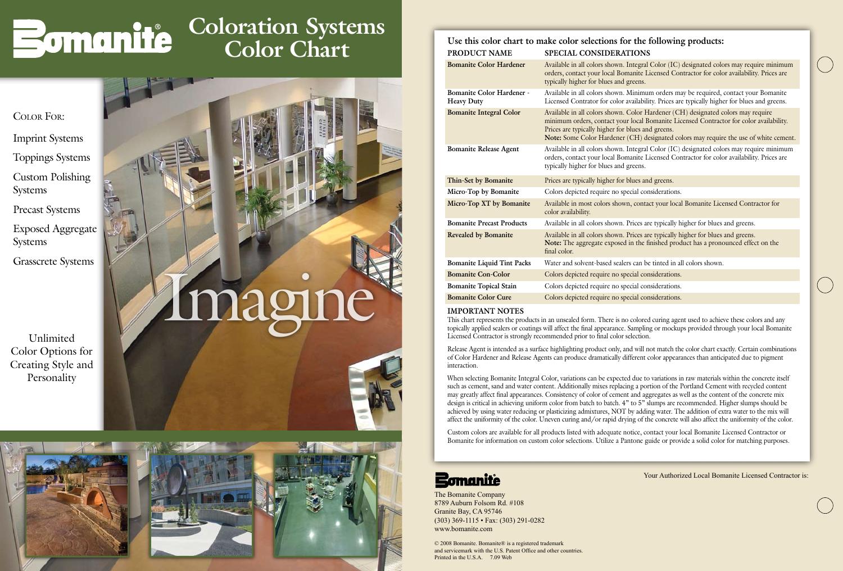© 2008 Bomanite. Bomanite® is a registered trademark and servicemark with the U.S. Patent Office and other countries. Printed in the U.S.A. 7.09 Web

### Licensed Contractor for color availability. Prices are

**Bomanite Color Cure** Colors depicted require no special considerations.

The Bomanite Company 8789 Auburn Folsom Rd. #108 Granite Bay, CA 95746 (303) 369-1115 • Fax: (303) 291-0282 www.bomanite.com

| Use this color chart to make color selections for the following products: |                                                                                                                                                                                                                                                                                                                          |
|---------------------------------------------------------------------------|--------------------------------------------------------------------------------------------------------------------------------------------------------------------------------------------------------------------------------------------------------------------------------------------------------------------------|
| PRODUCT NAME                                                              | SPECIAL CONSIDERATIONS                                                                                                                                                                                                                                                                                                   |
| <b>Bomanite Color Hardener</b>                                            | Available in all colors shown. Integral Color (IC) designated colors may require minimum<br>orders, contact your local Bomanite Licensed Contractor for color availability. Prices are<br>typically higher for blues and greens.                                                                                         |
| <b>Bomanite Color Hardener -</b><br><b>Heavy Duty</b>                     | Available in all colors shown. Minimum orders may be required, contact your Bomanite<br>Licensed Contrator for color availability. Prices are typically higher for blues and greens.                                                                                                                                     |
| <b>Bomanite Integral Color</b>                                            | Available in all colors shown. Color Hardener (CH) designated colors may require<br>minimum orders, contact your local Bomanite Licensed Contractor for color availability.<br>Prices are typically higher for blues and greens.<br>Note: Some Color Hardener (CH) designated colors may require the use of white cement |
| <b>Bomanite Release Agent</b>                                             | Available in all colors shown. Integral Color (IC) designated colors may require minimum<br>orders, contact your local Bomanite Licensed Contractor for color availability. Prices are<br>typically higher for blues and greens.                                                                                         |
| Thin-Set by Bomanite                                                      | Prices are typically higher for blues and greens.                                                                                                                                                                                                                                                                        |
| Micro-Top by Bomanite                                                     | Colors depicted require no special considerations.                                                                                                                                                                                                                                                                       |
| Micro-Top XT by Bomanite                                                  | Available in most colors shown, contact your local Bomanite Licensed Contractor for<br>color availability.                                                                                                                                                                                                               |
| <b>Bomanite Precast Products</b>                                          | Available in all colors shown. Prices are typically higher for blues and greens.                                                                                                                                                                                                                                         |
| <b>Revealed by Bomanite</b>                                               | Available in all colors shown. Prices are typically higher for blues and greens.<br>Note: The aggregate exposed in the finished product has a pronounced effect on the<br>final color.                                                                                                                                   |
| <b>Bomanite Liquid Tint Packs</b>                                         | Water and solvent-based sealers can be tinted in all colors shown.                                                                                                                                                                                                                                                       |
| <b>Bomanite Con-Color</b>                                                 | Colors depicted require no special considerations.                                                                                                                                                                                                                                                                       |
| <b>Bomanite Topical Stain</b>                                             | Colors depicted require no special considerations.                                                                                                                                                                                                                                                                       |

#### **IMPORTANT NOTES**

This chart represents the products in an unsealed form. There is no colored curing agent used to achieve these colors and any topically applied sealers or coatings will affect the final appearance. Sampling or mockups provided through your local Bomanite Licensed Contractor is strongly recommended prior to final color selection.

Release Agent is intended as a surface highlighting product only, and will not match the color chart exactly. Certain combinations of Color Hardener and Release Agents can produce dramatically different color appearances than anticipated due to pigment interaction.

When selecting Bomanite Integral Color, variations can be expected due to variations in raw materials within the concrete itself such as cement, sand and water content. Additionally mixes replacing a portion of the Portland Cement with recycled content may greatly affect final appearances. Consistency of color of cement and aggregates as well as the content of the concrete mix design is critical in achieving uniform color from batch to batch. 4" to 5" slumps are recommended. Higher slumps should be achieved by using water reducing or plasticizing admixtures, NOT by adding water. The addition of extra water to the mix will affect the uniformity of the color. Uneven curing and/or rapid drying of the concrete will also affect the uniformity of the color.

Custom colors are available for all products listed with adequate notice, contact your local Bomanite Licensed Contractor or Bomanite for information on custom color selections. Utilize a Pantone guide or provide a solid color for matching purposes.

#### **Bomanite**

Unlimited Color Options for Creating Style and Personality

Color For:

Imprint Systems Toppings Systems

Custom Polishing Systems

Precast Systems

Exposed Aggregate Systems

Grasscrete Systems





# Bomanité

## **Coloration Systems Color Chart**

Your Authorized Local Bomanite Licensed Contractor is: